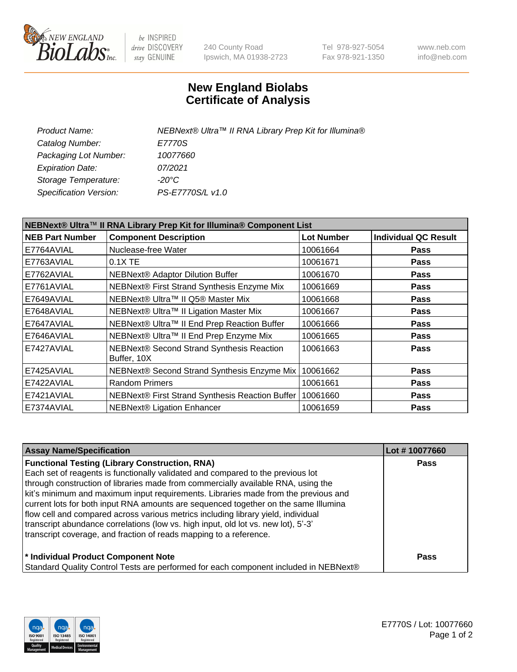

be INSPIRED drive DISCOVERY stay GENUINE

240 County Road Ipswich, MA 01938-2723 Tel 978-927-5054 Fax 978-921-1350 www.neb.com info@neb.com

## **New England Biolabs Certificate of Analysis**

| Product Name:           | NEBNext® Ultra™ II RNA Library Prep Kit for Illumina® |
|-------------------------|-------------------------------------------------------|
| Catalog Number:         | E7770S                                                |
| Packaging Lot Number:   | <i>10077660</i>                                       |
| <b>Expiration Date:</b> | 07/2021                                               |
| Storage Temperature:    | -20°C                                                 |
| Specification Version:  | PS-E7770S/L v1.0                                      |

| NEBNext® Ultra™ II RNA Library Prep Kit for Illumina® Component List |                                                            |                   |                             |  |
|----------------------------------------------------------------------|------------------------------------------------------------|-------------------|-----------------------------|--|
| <b>NEB Part Number</b>                                               | <b>Component Description</b>                               | <b>Lot Number</b> | <b>Individual QC Result</b> |  |
| E7764AVIAL                                                           | Nuclease-free Water                                        | 10061664          | <b>Pass</b>                 |  |
| E7763AVIAL                                                           | 0.1X TE                                                    | 10061671          | <b>Pass</b>                 |  |
| E7762AVIAL                                                           | NEBNext® Adaptor Dilution Buffer                           | 10061670          | <b>Pass</b>                 |  |
| E7761AVIAL                                                           | NEBNext® First Strand Synthesis Enzyme Mix                 | 10061669          | <b>Pass</b>                 |  |
| E7649AVIAL                                                           | NEBNext® Ultra™ II Q5® Master Mix                          | 10061668          | <b>Pass</b>                 |  |
| E7648AVIAL                                                           | NEBNext® Ultra™ II Ligation Master Mix                     | 10061667          | <b>Pass</b>                 |  |
| E7647AVIAL                                                           | NEBNext® Ultra™ II End Prep Reaction Buffer                | 10061666          | <b>Pass</b>                 |  |
| E7646AVIAL                                                           | NEBNext® Ultra™ II End Prep Enzyme Mix                     | 10061665          | <b>Pass</b>                 |  |
| E7427AVIAL                                                           | NEBNext® Second Strand Synthesis Reaction<br>Buffer, 10X   | 10061663          | <b>Pass</b>                 |  |
| E7425AVIAL                                                           | NEBNext® Second Strand Synthesis Enzyme Mix                | 10061662          | <b>Pass</b>                 |  |
| E7422AVIAL                                                           | <b>Random Primers</b>                                      | 10061661          | <b>Pass</b>                 |  |
| E7421AVIAL                                                           | NEBNext® First Strand Synthesis Reaction Buffer   10061660 |                   | <b>Pass</b>                 |  |
| E7374AVIAL                                                           | <b>NEBNext® Ligation Enhancer</b>                          | 10061659          | <b>Pass</b>                 |  |

| <b>Assay Name/Specification</b>                                                      | Lot #10077660 |
|--------------------------------------------------------------------------------------|---------------|
| <b>Functional Testing (Library Construction, RNA)</b>                                | <b>Pass</b>   |
| Each set of reagents is functionally validated and compared to the previous lot      |               |
| through construction of libraries made from commercially available RNA, using the    |               |
| kit's minimum and maximum input requirements. Libraries made from the previous and   |               |
| current lots for both input RNA amounts are sequenced together on the same Illumina  |               |
| flow cell and compared across various metrics including library yield, individual    |               |
| transcript abundance correlations (low vs. high input, old lot vs. new lot), 5'-3'   |               |
| transcript coverage, and fraction of reads mapping to a reference.                   |               |
| * Individual Product Component Note                                                  | <b>Pass</b>   |
| Standard Quality Control Tests are performed for each component included in NEBNext® |               |